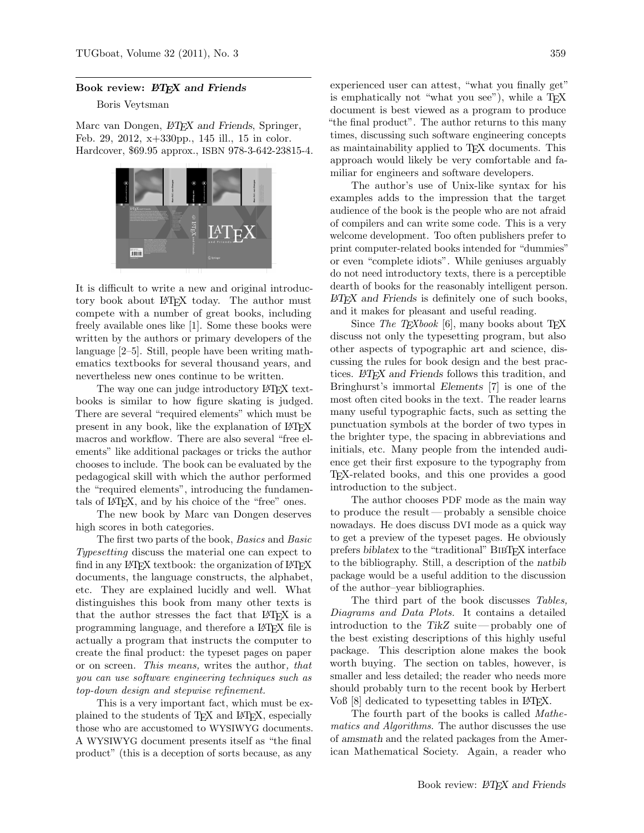## Book review:  $\mathbb{P}\mathbb{F}X$  and Friends

## Boris Veytsman

Marc van Dongen,  $\cancel{BTEX}$  and Friends, Springer, Feb. 29, 2012, x+330pp., 145 ill., 15 in color. Hardcover, \$69.95 approx., ISBN 978-3-642-23815-4.



It is difficult to write a new and original introductory book about LATEX today. The author must compete with a number of great books, including freely available ones like [\[1\]](#page-1-0). Some these books were written by the authors or primary developers of the language [\[2](#page-1-1)[–5\]](#page-1-2). Still, people have been writing mathematics textbooks for several thousand years, and nevertheless new ones continue to be written.

The way one can judge introductory LAT<sub>EX</sub> textbooks is similar to how figure skating is judged. There are several "required elements" which must be present in any book, like the explanation of LATEX macros and workflow. There are also several "free elements" like additional packages or tricks the author chooses to include. The book can be evaluated by the pedagogical skill with which the author performed the "required elements", introducing the fundamentals of LATEX, and by his choice of the "free" ones.

The new book by Marc van Dongen deserves high scores in both categories.

The first two parts of the book, Basics and Basic Typesetting discuss the material one can expect to find in any LAT<sub>EX</sub> textbook: the organization of LAT<sub>EX</sub> documents, the language constructs, the alphabet, etc. They are explained lucidly and well. What distinguishes this book from many other texts is that the author stresses the fact that LATEX is a programming language, and therefore a LATEX file is actually a program that instructs the computer to create the final product: the typeset pages on paper or on screen. This means, writes the author, that you can use software engineering techniques such as top-down design and stepwise refinement.

This is a very important fact, which must be explained to the students of T<sub>EX</sub> and L<sup>AT</sup>EX, especially those who are accustomed to WYSIWYG documents. A WYSIWYG document presents itself as "the final product" (this is a deception of sorts because, as any

experienced user can attest, "what you finally get" is emphatically not "what you see"), while a T<sub>E</sub>X document is best viewed as a program to produce "the final product". The author returns to this many times, discussing such software engineering concepts as maintainability applied to T<sub>EX</sub> documents. This approach would likely be very comfortable and familiar for engineers and software developers.

The author's use of Unix-like syntax for his examples adds to the impression that the target audience of the book is the people who are not afraid of compilers and can write some code. This is a very welcome development. Too often publishers prefer to print computer-related books intended for "dummies" or even "complete idiots". While geniuses arguably do not need introductory texts, there is a perceptible dearth of books for the reasonably intelligent person.  $\angle$ *ET<sub>F</sub>X* and Friends is definitely one of such books, and it makes for pleasant and useful reading.

Since The TEXbook [\[6\]](#page-1-3), many books about TEX discuss not only the typesetting program, but also other aspects of typographic art and science, discussing the rules for book design and the best practices. LATEX and Friends follows this tradition, and Bringhurst's immortal Elements [\[7\]](#page-1-4) is one of the most often cited books in the text. The reader learns many useful typographic facts, such as setting the punctuation symbols at the border of two types in the brighter type, the spacing in abbreviations and initials, etc. Many people from the intended audience get their first exposure to the typography from TEX-related books, and this one provides a good introduction to the subject.

The author chooses PDF mode as the main way to produce the result— probably a sensible choice nowadays. He does discuss DVI mode as a quick way to get a preview of the typeset pages. He obviously prefers biblatex to the "traditional" BibTEX interface to the bibliography. Still, a description of the natbib package would be a useful addition to the discussion of the author–year bibliographies.

The third part of the book discusses Tables, Diagrams and Data Plots. It contains a detailed introduction to the TikZ suite— probably one of the best existing descriptions of this highly useful package. This description alone makes the book worth buying. The section on tables, however, is smaller and less detailed; the reader who needs more should probably turn to the recent book by Herbert Voß [\[8\]](#page-1-5) dedicated to typesetting tables in LAT<sub>EX</sub>.

The fourth part of the books is called Mathematics and Algorithms. The author discusses the use of amsmath and the related packages from the American Mathematical Society. Again, a reader who